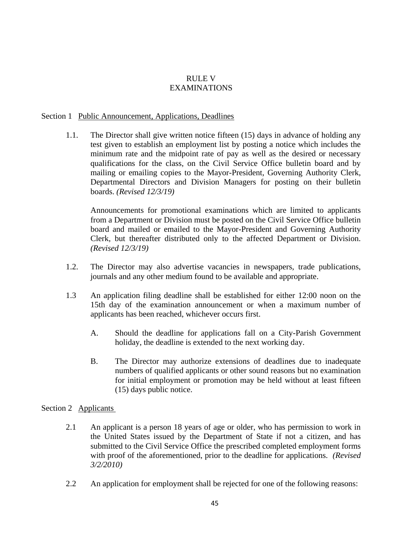# RULE V EXAMINATIONS

#### Section 1 Public Announcement, Applications, Deadlines

1.1. The Director shall give written notice fifteen (15) days in advance of holding any test given to establish an employment list by posting a notice which includes the minimum rate and the midpoint rate of pay as well as the desired or necessary qualifications for the class, on the Civil Service Office bulletin board and by mailing or emailing copies to the Mayor-President, Governing Authority Clerk, Departmental Directors and Division Managers for posting on their bulletin boards. *(Revised 12/3/19)*

Announcements for promotional examinations which are limited to applicants from a Department or Division must be posted on the Civil Service Office bulletin board and mailed or emailed to the Mayor-President and Governing Authority Clerk, but thereafter distributed only to the affected Department or Division. *(Revised 12/3/19)*

- 1.2. The Director may also advertise vacancies in newspapers, trade publications, journals and any other medium found to be available and appropriate.
- 1.3 An application filing deadline shall be established for either 12:00 noon on the 15th day of the examination announcement or when a maximum number of applicants has been reached, whichever occurs first.
	- A. Should the deadline for applications fall on a City-Parish Government holiday, the deadline is extended to the next working day.
	- B. The Director may authorize extensions of deadlines due to inadequate numbers of qualified applicants or other sound reasons but no examination for initial employment or promotion may be held without at least fifteen (15) days public notice.

## Section 2 Applicants

- 2.1 An applicant is a person 18 years of age or older, who has permission to work in the United States issued by the Department of State if not a citizen, and has submitted to the Civil Service Office the prescribed completed employment forms with proof of the aforementioned, prior to the deadline for applications. *(Revised 3/2/2010)*
- 2.2 An application for employment shall be rejected for one of the following reasons: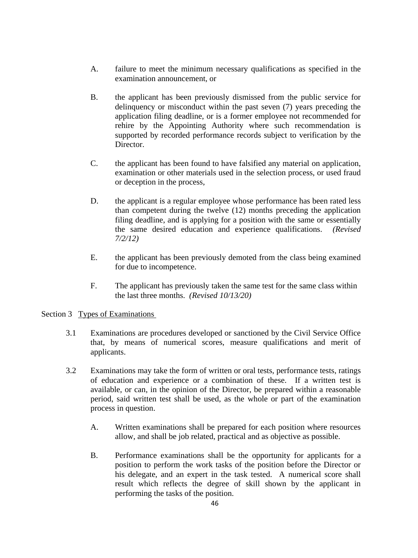- A. failure to meet the minimum necessary qualifications as specified in the examination announcement, or
- B. the applicant has been previously dismissed from the public service for delinquency or misconduct within the past seven (7) years preceding the application filing deadline, or is a former employee not recommended for rehire by the Appointing Authority where such recommendation is supported by recorded performance records subject to verification by the Director.
- C. the applicant has been found to have falsified any material on application, examination or other materials used in the selection process, or used fraud or deception in the process,
- D. the applicant is a regular employee whose performance has been rated less than competent during the twelve (12) months preceding the application filing deadline, and is applying for a position with the same or essentially the same desired education and experience qualifications. *(Revised 7/2/12)*
- E. the applicant has been previously demoted from the class being examined for due to incompetence.
- F. The applicant has previously taken the same test for the same class within the last three months. *(Revised 10/13/20)*

#### Section 3 Types of Examinations

- 3.1 Examinations are procedures developed or sanctioned by the Civil Service Office that, by means of numerical scores, measure qualifications and merit of applicants.
- 3.2 Examinations may take the form of written or oral tests, performance tests, ratings of education and experience or a combination of these. If a written test is available, or can, in the opinion of the Director, be prepared within a reasonable period, said written test shall be used, as the whole or part of the examination process in question.
	- A. Written examinations shall be prepared for each position where resources allow, and shall be job related, practical and as objective as possible.
	- B. Performance examinations shall be the opportunity for applicants for a position to perform the work tasks of the position before the Director or his delegate, and an expert in the task tested. A numerical score shall result which reflects the degree of skill shown by the applicant in performing the tasks of the position.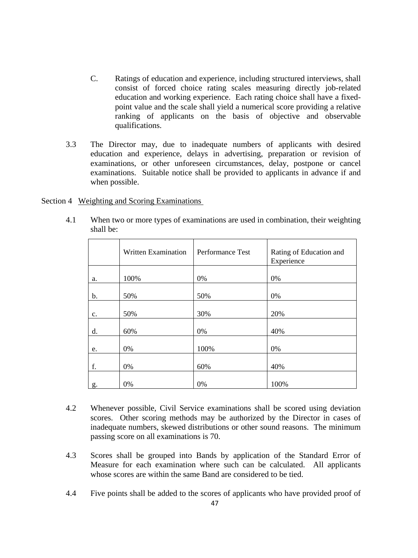- C. Ratings of education and experience*,* including structured interviews, shall consist of forced choice rating scales measuring directly job-related education and working experience. Each rating choice shall have a fixedpoint value and the scale shall yield a numerical score providing a relative ranking of applicants on the basis of objective and observable qualifications.
- 3.3 The Director may, due to inadequate numbers of applicants with desired education and experience, delays in advertising, preparation or revision of examinations, or other unforeseen circumstances, delay, postpone or cancel examinations. Suitable notice shall be provided to applicants in advance if and when possible.

Section 4 Weighting and Scoring Examinations

|                | Written Examination | Performance Test | Rating of Education and<br>Experience |
|----------------|---------------------|------------------|---------------------------------------|
| a.             | 100%                | 0%               | 0%                                    |
| $\mathbf b$ .  | 50%                 | 50%              | 0%                                    |
| $\mathbf{c}$ . | 50%                 | 30%              | 20%                                   |
| d.             | 60%                 | 0%               | 40%                                   |
| e.             | 0%                  | 100%             | 0%                                    |
| f.             | 0%                  | 60%              | 40%                                   |
| g.             | 0%                  | 0%               | 100%                                  |

4.1 When two or more types of examinations are used in combination, their weighting shall be:

- 4.2 Whenever possible, Civil Service examinations shall be scored using deviation scores. Other scoring methods may be authorized by the Director in cases of inadequate numbers, skewed distributions or other sound reasons. The minimum passing score on all examinations is 70.
- 4.3 Scores shall be grouped into Bands by application of the Standard Error of Measure for each examination where such can be calculated. All applicants whose scores are within the same Band are considered to be tied.
- 4.4 Five points shall be added to the scores of applicants who have provided proof of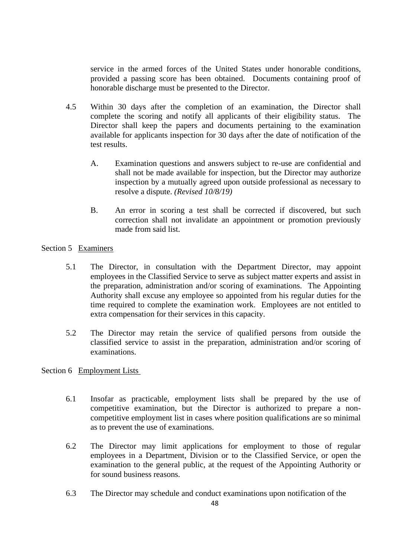service in the armed forces of the United States under honorable conditions, provided a passing score has been obtained. Documents containing proof of honorable discharge must be presented to the Director.

- 4.5 Within 30 days after the completion of an examination, the Director shall complete the scoring and notify all applicants of their eligibility status. The Director shall keep the papers and documents pertaining to the examination available for applicants inspection for 30 days after the date of notification of the test results.
	- A. Examination questions and answers subject to re-use are confidential and shall not be made available for inspection, but the Director may authorize inspection by a mutually agreed upon outside professional as necessary to resolve a dispute. *(Revised 10/8/19)*
	- B. An error in scoring a test shall be corrected if discovered, but such correction shall not invalidate an appointment or promotion previously made from said list.

### Section 5 Examiners

- 5.1 The Director*,* in consultation with the Department Director, may appoint employees in the Classified Service to serve as subject matter experts and assist in the preparation, administration and/or scoring of examinations. The Appointing Authority shall excuse any employee so appointed from his regular duties for the time required to complete the examination work. Employees are not entitled to extra compensation for their services in this capacity.
- 5.2 The Director may retain the service of qualified persons from outside the classified service to assist in the preparation, administration and/or scoring of examinations.

#### Section 6 Employment Lists

- 6.1 Insofar as practicable, employment lists shall be prepared by the use of competitive examination, but the Director is authorized to prepare a noncompetitive employment list in cases where position qualifications are so minimal as to prevent the use of examinations.
- 6.2 The Director may limit applications for employment to those of regular employees in a Department, Division or to the Classified Service, or open the examination to the general public, at the request of the Appointing Authority or for sound business reasons.
- 6.3 The Director may schedule and conduct examinations upon notification of the